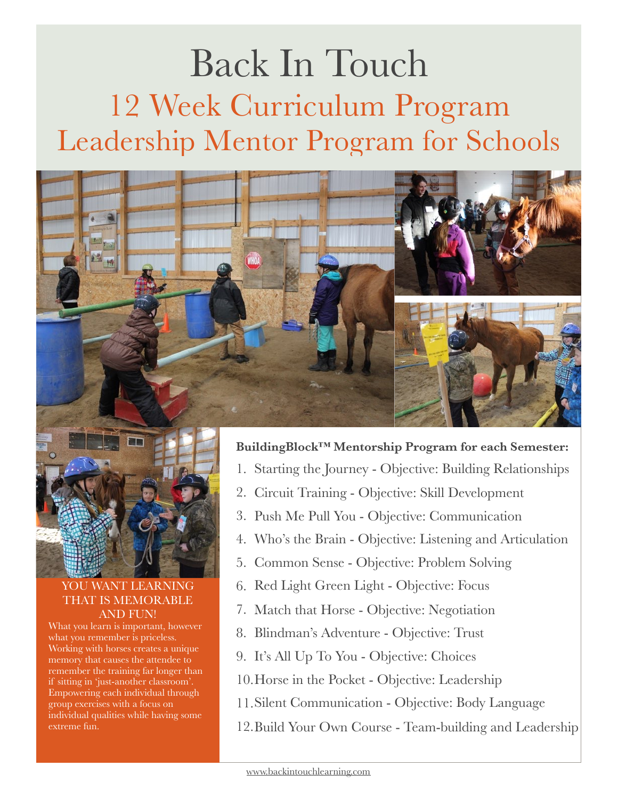# Back In Touch 12 Week Curriculum Program Leadership Mentor Program for Schools





#### YOU WANT LEARNING THAT IS MEMORABLE AND FUN!

What you learn is important, however what you remember is priceless. Working with horses creates a unique memory that causes the attendee to remember the training far longer than if sitting in 'just-another classroom'. Empowering each individual through group exercises with a focus on individual qualities while having some extreme fun.

#### **BuildingBlock™ Mentorship Program for each Semester:**

- 1. Starting the Journey Objective: Building Relationships
- 2. Circuit Training Objective: Skill Development
- 3. Push Me Pull You Objective: Communication
- 4. Who's the Brain Objective: Listening and Articulation
- 5. Common Sense Objective: Problem Solving
- 6. Red Light Green Light Objective: Focus
- 7. Match that Horse Objective: Negotiation
- 8. Blindman's Adventure Objective: Trust
- 9. It's All Up To You Objective: Choices
- 10.Horse in the Pocket Objective: Leadership
- 11.Silent Communication Objective: Body Language
- 12.Build Your Own Course Team-building and Leadership